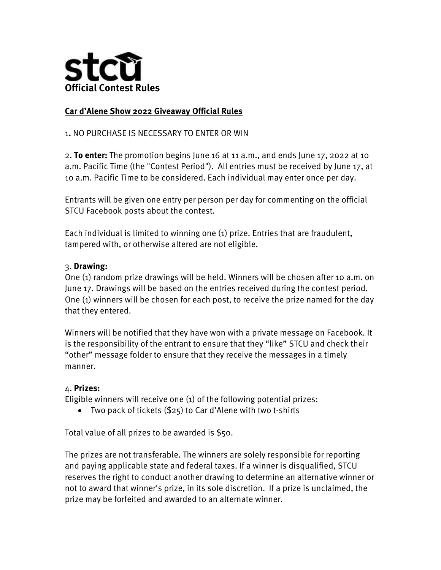

## **Car d'Alene Show 2022 Giveaway Official Rules**

## 1**.** NO PURCHASE IS NECESSARY TO ENTER OR WIN

2. **To enter:** The promotion begins June 16 at 11 a.m., and ends June 17, 2022 at 10 a.m. Pacific Time (the "Contest Period"). All entries must be received by June 17, at 10 a.m. Pacific Time to be considered. Each individual may enter once per day.

Entrants will be given one entry per person per day for commenting on the official STCU Facebook posts about the contest.

Each individual is limited to winning one (1) prize. Entries that are fraudulent, tampered with, or otherwise altered are not eligible.

## 3. **Drawing:**

One (1) random prize drawings will be held. Winners will be chosen after 10 a.m. on June 17. Drawings will be based on the entries received during the contest period. One (1) winners will be chosen for each post, to receive the prize named for the day that they entered.

Winners will be notified that they have won with a private message on Facebook. It is the responsibility of the entrant to ensure that they "like" STCU and check their "other" message folder to ensure that they receive the messages in a timely manner.

## 4. **Prizes:**

Eligible winners will receive one (1) of the following potential prizes:

Two pack of tickets (\$25) to Car d'Alene with two t-shirts

Total value of all prizes to be awarded is \$50.

The prizes are not transferable. The winners are solely responsible for reporting and paying applicable state and federal taxes. If a winner is disqualified, STCU reserves the right to conduct another drawing to determine an alternative winner or not to award that winner's prize, in its sole discretion. If a prize is unclaimed, the prize may be forfeited and awarded to an alternate winner.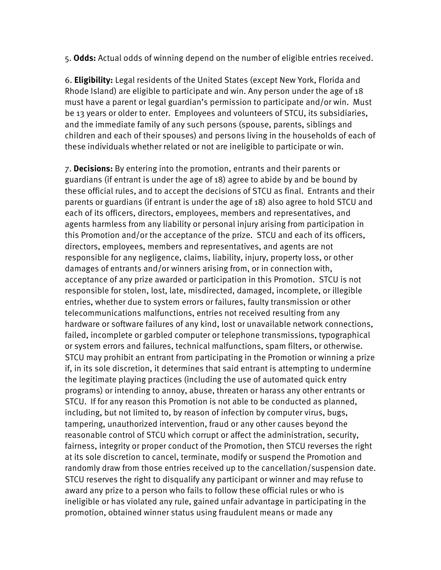5. **Odds:** Actual odds of winning depend on the number of eligible entries received.

6. **Eligibility:** Legal residents of the United States (except New York, Florida and Rhode Island) are eligible to participate and win. Any person under the age of 18 must have a parent or legal guardian's permission to participate and/or win. Must be 13 years or older to enter. Employees and volunteers of STCU, its subsidiaries, and the immediate family of any such persons (spouse, parents, siblings and children and each of their spouses) and persons living in the households of each of these individuals whether related or not are ineligible to participate or win.

7. **Decisions:** By entering into the promotion, entrants and their parents or guardians (if entrant is under the age of 18) agree to abide by and be bound by these official rules, and to accept the decisions of STCU as final. Entrants and their parents or guardians (if entrant is under the age of 18) also agree to hold STCU and each of its officers, directors, employees, members and representatives, and agents harmless from any liability or personal injury arising from participation in this Promotion and/or the acceptance of the prize. STCU and each of its officers, directors, employees, members and representatives, and agents are not responsible for any negligence, claims, liability, injury, property loss, or other damages of entrants and/or winners arising from, or in connection with, acceptance of any prize awarded or participation in this Promotion. STCU is not responsible for stolen, lost, late, misdirected, damaged, incomplete, or illegible entries, whether due to system errors or failures, faulty transmission or other telecommunications malfunctions, entries not received resulting from any hardware or software failures of any kind, lost or unavailable network connections, failed, incomplete or garbled computer or telephone transmissions, typographical or system errors and failures, technical malfunctions, spam filters, or otherwise. STCU may prohibit an entrant from participating in the Promotion or winning a prize if, in its sole discretion, it determines that said entrant is attempting to undermine the legitimate playing practices (including the use of automated quick entry programs) or intending to annoy, abuse, threaten or harass any other entrants or STCU. If for any reason this Promotion is not able to be conducted as planned, including, but not limited to, by reason of infection by computer virus, bugs, tampering, unauthorized intervention, fraud or any other causes beyond the reasonable control of STCU which corrupt or affect the administration, security, fairness, integrity or proper conduct of the Promotion, then STCU reverses the right at its sole discretion to cancel, terminate, modify or suspend the Promotion and randomly draw from those entries received up to the cancellation/suspension date. STCU reserves the right to disqualify any participant or winner and may refuse to award any prize to a person who fails to follow these official rules or who is ineligible or has violated any rule, gained unfair advantage in participating in the promotion, obtained winner status using fraudulent means or made any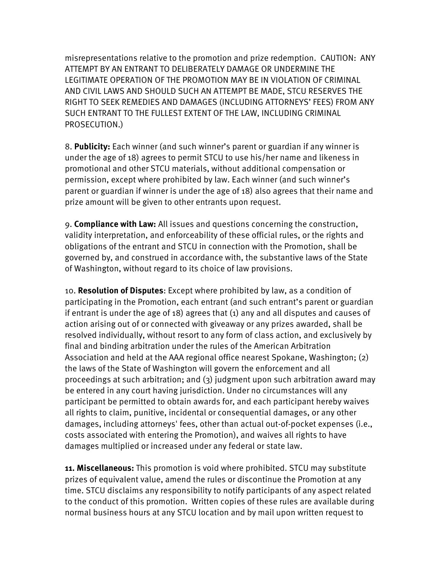misrepresentations relative to the promotion and prize redemption. CAUTION: ANY ATTEMPT BY AN ENTRANT TO DELIBERATELY DAMAGE OR UNDERMINE THE LEGITIMATE OPERATION OF THE PROMOTION MAY BE IN VIOLATION OF CRIMINAL AND CIVIL LAWS AND SHOULD SUCH AN ATTEMPT BE MADE, STCU RESERVES THE RIGHT TO SEEK REMEDIES AND DAMAGES (INCLUDING ATTORNEYS' FEES) FROM ANY SUCH ENTRANT TO THE FULLEST EXTENT OF THE LAW, INCLUDING CRIMINAL PROSECUTION.)

8. **Publicity:** Each winner (and such winner's parent or guardian if any winner is under the age of 18) agrees to permit STCU to use his/her name and likeness in promotional and other STCU materials, without additional compensation or permission, except where prohibited by law. Each winner (and such winner's parent or guardian if winner is under the age of 18) also agrees that their name and prize amount will be given to other entrants upon request.

9. **Compliance with Law:** All issues and questions concerning the construction, validity interpretation, and enforceability of these official rules, or the rights and obligations of the entrant and STCU in connection with the Promotion, shall be governed by, and construed in accordance with, the substantive laws of the State of Washington, without regard to its choice of law provisions.

10. **Resolution of Disputes**: Except where prohibited by law, as a condition of participating in the Promotion, each entrant (and such entrant's parent or guardian if entrant is under the age of 18) agrees that (1) any and all disputes and causes of action arising out of or connected with giveaway or any prizes awarded, shall be resolved individually, without resort to any form of class action, and exclusively by final and binding arbitration under the rules of the American Arbitration Association and held at the AAA regional office nearest Spokane, Washington; (2) the laws of the State of Washington will govern the enforcement and all proceedings at such arbitration; and (3) judgment upon such arbitration award may be entered in any court having jurisdiction. Under no circumstances will any participant be permitted to obtain awards for, and each participant hereby waives all rights to claim, punitive, incidental or consequential damages, or any other damages, including attorneys' fees, other than actual out-of-pocket expenses (i.e., costs associated with entering the Promotion), and waives all rights to have damages multiplied or increased under any federal or state law.

**11. Miscellaneous:** This promotion is void where prohibited. STCU may substitute prizes of equivalent value, amend the rules or discontinue the Promotion at any time. STCU disclaims any responsibility to notify participants of any aspect related to the conduct of this promotion. Written copies of these rules are available during normal business hours at any STCU location and by mail upon written request to